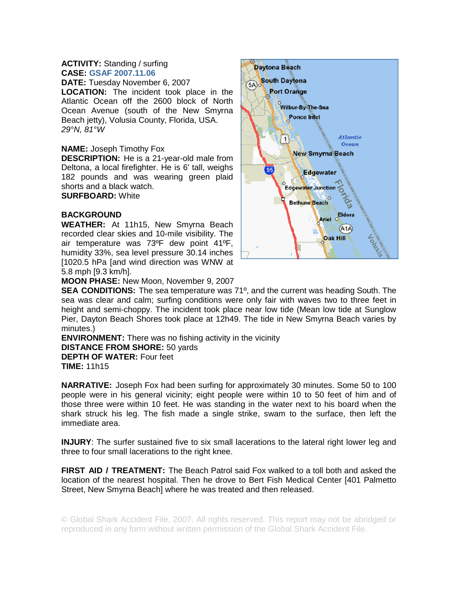## **ACTIVITY:** Standing / surfing **CASE: GSAF 2007.11.06**

**DATE:** Tuesday November 6, 2007 **LOCATION:** The incident took place in the Atlantic Ocean off the 2600 block of North Ocean Avenue (south of the New Smyrna Beach jetty), Volusia County, Florida, USA. *29°N, 81°W* 

## **NAME:** Joseph Timothy Fox

**DESCRIPTION:** He is a 21-year-old male from Deltona, a local firefighter. He is 6' tall, weighs 182 pounds and was wearing green plaid shorts and a black watch.

**SURFBOARD:** White

## **BACKGROUND**

**WEATHER:** At 11h15, New Smyrna Beach recorded clear skies and 10-mile visibility. The air temperature was 73ºF dew point 41ºF, humidity 33%, sea level pressure 30.14 inches [1020.5 hPa [and wind direction was WNW at 5.8 mph [9.3 km/h].



**MOON PHASE:** New Moon, November 9, 2007

**SEA CONDITIONS:** The sea temperature was 71º, and the current was heading South. The sea was clear and calm; surfing conditions were only fair with waves two to three feet in height and semi-choppy. The incident took place near low tide (Mean low tide at Sunglow Pier, Dayton Beach Shores took place at 12h49. The tide in New Smyrna Beach varies by minutes.)

**ENVIRONMENT:** There was no fishing activity in the vicinity **DISTANCE FROM SHORE:** 50 yards **DEPTH OF WATER:** Four feet **TIME:** 11h15

**NARRATIVE:** Joseph Fox had been surfing for approximately 30 minutes. Some 50 to 100 people were in his general vicinity; eight people were within 10 to 50 feet of him and of those three were within 10 feet. He was standing in the water next to his board when the shark struck his leg. The fish made a single strike, swam to the surface, then left the immediate area.

**INJURY**: The surfer sustained five to six small lacerations to the lateral right lower leg and three to four small lacerations to the right knee.

**FIRST AID / TREATMENT:** The Beach Patrol said Fox walked to a toll both and asked the location of the nearest hospital. Then he drove to Bert Fish Medical Center [401 Palmetto Street, New Smyrna Beach] where he was treated and then released.

© Global Shark Accident File, 2007. All rights reserved. This report may not be abridged or reproduced in any form without written permission of the Global Shark Accident File.